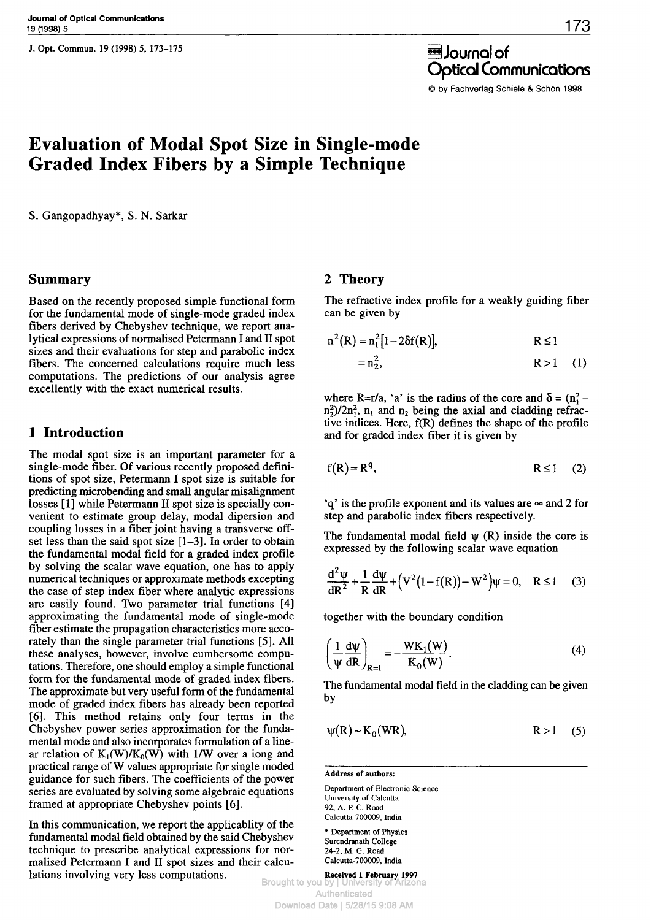J. Opt. Commun. 19 (1998) 5, 173-175



θ Journal of Optical Communications

© by Fachverlag Schiele & Schön 1998

# **Evaluation of Modal Spot Size in Single-mode Graded Index Fibers by a Simple Technique**

S. Gangopadhyay\*, S. N. Sarkar

### **Summary**

Based on the recently proposed simple functional form for the fundamental mode of single-mode graded index fibers derived by Chebyshev technique, we report analytical expressions of normalised Petermann I and II spot sizes and their evaluations for step and parabolic index fibers. The concerned calculations require much less computations. The predictions of our analysis agree excellently with the exact numerical results.

### **1 Introduction**

The modal spot size is an important parameter for a single-mode fiber. Of various recently proposed definitions of spot size, Petermann I spot size is suitable for predicting microbending and small angular misalignment losses [1] while Petermann II spot size is specially convenient to estimate group delay, modal dipersion and coupling losses in a fiber joint having a transverse offset less than the said spot size  $[1-3]$ . In order to obtain the fundamental modal field for a graded index profile by solving the scalar wave equation, one has to apply numerical techniques or approximate methods excepting the case of step index fiber where analytic expressions are easily found. Two parameter trial functions [4] approximating the fundamental mode of single-mode fiber estimate the propagation characteristics more accorately than the single parameter trial functions [5]. All these analyses, however, involve cumbersome computations. Therefore, one should employ a simple functional form for the fundamental mode of graded index fibers. The approximate but very useful form of the fundamental mode of graded index fibers has already been reported [6]. This method retains only four terms in the Chebyshev power series approximation for the fundamental mode and also incorporates formulation of a linear relation of  $K_1(W)/K_0(W)$  with 1/W over a iong and practical range of W values appropriate for single moded guidance for such fibers. The coefficients of the power series are evaluated by solving some algebraic equations framed at appropriate Chebyshev points [6].

In this communication, we report the applicablity of the fundamental modal field obtained by the said Chebyshev technique to prescribe analytical expressions for normalised Petermann I and II spot sizes and their calculations involving very less computations.

## **2 Theory**

The refractive index profile for a weakly guiding fiber can be given by

$$
n^{2}(R) = n_{1}^{2}[1-2\delta f(R)], \qquad R \leq 1
$$
  
= n\_{2}^{2}, \qquad R > 1 \qquad (1)

where R=r/a, 'a' is the radius of the core and  $\delta = (n_1^2$  $n_1^2$ /2n<sup>2</sup>,  $n_1$  and  $n_2$  being the axial and cladding refractive indices. Here,  $f(R)$  defines the shape of the profile and for graded index fiber it is given by

$$
f(R) = Rq,
$$
  $R \le 1$  (2)

'q' is the profile exponent and its values are *°°* and 2 for step and parabolic index fibers respectively.

The fundamental modal field  $\psi$  (R) inside the core is expressed by the following scalar wave equation

$$
\frac{d^2 \psi}{dR^2} + \frac{1}{R} \frac{d\psi}{dR} + (V^2 (1 - f(R)) - W^2) \psi = 0, \quad R \le 1 \tag{3}
$$

together with the boundary condition

$$
\left(\frac{1}{\psi}\frac{d\psi}{dR}\right)_{R=1} = -\frac{WK_1(W)}{K_0(W)}.
$$
\n(4)

The fundamental modal field in the cladding can be given by

$$
\psi(R) \sim K_0(WR), \qquad R > 1 \quad (5)
$$

**Address of authors:**

Department of Electronic Science University of Calcutta 92, A. P. C. Road Calcutta-700009, India \* Department of Physics Surendranath College

24-2, M. G. Road Calcutta-700009, India

**Received 1 February 1997** Brought to you by Authenticated Download Date | 5/28/15 9:08 AM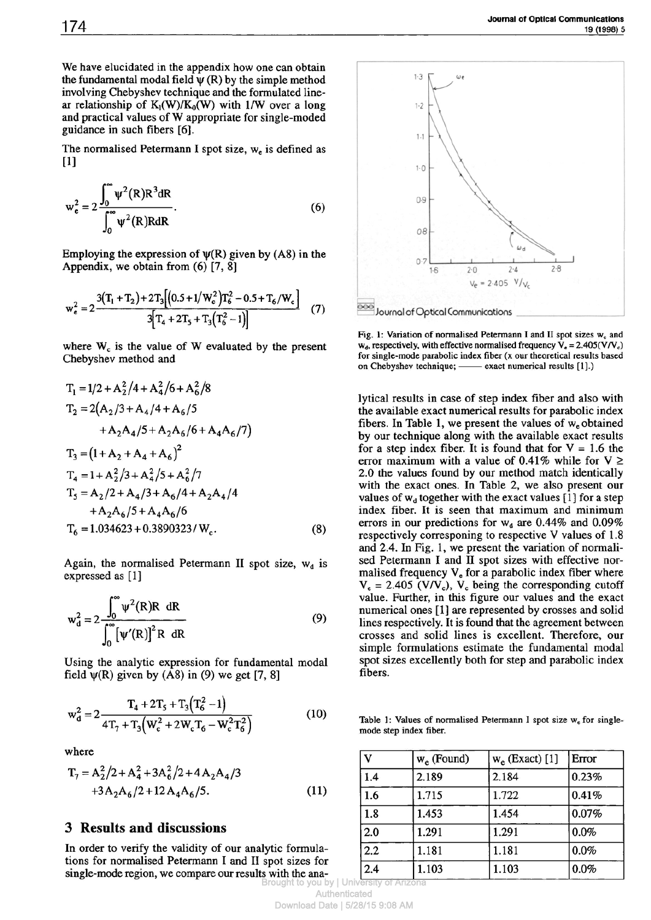We have elucidated in the appendix how one can obtain the fundamental modal field  $\psi$  (R) by the simple method involving Chebyshev technique and the formulated linear relationship of  $K_1(W)/K_0(W)$  with 1/W over a long and practical values of W appropriate for single-moded guidance in such fibers [6].

The normalised Petermann I spot size,  $w_e$  is defined as [1]

$$
w_e^2 = 2 \frac{\int_0^\infty \psi^2(R) R^3 dR}{\int_0^\infty \psi^2(R) R dR}.
$$
 (6)

Employing the expression of  $\psi(R)$  given by (A8) in the Appendix, we obtain from (6) [7, 8]

$$
w_e^2 = 2 \frac{3(T_1 + T_2) + 2T_3[(0.5 + 1/W_c^2)T_6^2 - 0.5 + T_6/W_c]}{3[T_4 + 2T_5 + T_3(T_6^2 - 1)]}
$$
(7)

where  $W_c$  is the value of W evaluated by the present Chebyshev method and

$$
T_1 = 1/2 + A_2^2/4 + A_4^2/6 + A_6^2/8
$$
  
\n
$$
T_2 = 2(A_2/3 + A_4/4 + A_6/5 + A_2A_6/6 + A_4A_6/7)
$$
  
\n
$$
+ A_2A_4/5 + A_2A_6/6 + A_4A_6/7
$$
  
\n
$$
T_3 = (1 + A_2 + A_4 + A_6)^2
$$
  
\n
$$
T_4 = 1 + A_2^2/3 + A_4^2/5 + A_6^2/7
$$
  
\n
$$
T_5 = A_2/2 + A_4/3 + A_6/4 + A_2A_4/4 + A_2A_6/6
$$
  
\n
$$
T_6 = 1.034623 + 0.3890323/ W_c.
$$
 (8)

Again, the normalised Petermann II spot size,  $w_d$  is expressed as [1]

$$
w_d^2 = 2 \frac{\int_0^\infty \psi^2(R)R \, dR}{\int_0^\infty \left[\psi'(R)\right]^2 R \, dR}
$$
\n(9)

Using the analytic expression for fundamental modal field  $\psi(R)$  given by (A8) in (9) we get [7, 8]

$$
w_d^2 = 2 \frac{T_4 + 2T_5 + T_3(T_6^2 - 1)}{4T_7 + T_3(W_c^2 + 2W_cT_6 - W_c^2T_6^2)}
$$
(10)

where

$$
T_7 = A_2^2/2 + A_4^2 + 3A_6^2/2 + 4A_2A_4/3
$$
  
+3A<sub>2</sub>A<sub>6</sub>/2 + 12A<sub>4</sub>A<sub>6</sub>/5. (11)

# **3 Results and discussions**

In order to verify the validity of our analytic formulations for normalised Petermann I and II spot sizes for single-mode region, we compare our results with the ana-Brought to you by | Univers



Fig. 1: Variation of normalised Petermann I and II spot sizes we and  $w_d$ , respectively, with effective normalised frequency  $V_e = 2.405(V/V_c)$ for single-mode parabolic index fiber (x our theoretical results based on Chebyshev technique; — exact numerical results [1].)

lytical results in case of step index fiber and also with the available exact numerical results for parabolic index fibers. In Table 1, we present the values of w<sub>e</sub> obtained by our technique along with the available exact results for a step index fiber. It is found that for  $V = 1.6$  the error maximum with a value of 0.41% while for  $V \ge$ 2.0 the values found by our method match identically with the exact ones. In Table 2, we also present our values of  $w_d$  together with the exact values [1] for a step index fiber. It is seen that maximum and minimum errors in our predictions for  $w_d$  are 0.44% and 0.09% respectively corresponing to respective V values of 1.8 and 2.4. In Fig. 1, we present the variation of normalised Petermann I and II spot sizes with effective normalised frequency  $V_e$  for a parabolic index fiber where  $V_e = 2.405$  (V/V<sub>c</sub>), V<sub>c</sub> being the corresponding cutoff value. Further, in this figure our values and the exact numerical ones [1] are represented by crosses and solid lines respectively. It is found that the agreement between crosses and solid lines is excellent. Therefore, our simple formulations estimate the fundamental modal spot sizes excellently both for step and parabolic index fibers.

Table 1: Values of normalised Petermann I spot size  $w_{\epsilon}$  for singlemode step index fiber.

| v                | $w_e$ (Found) | $w_e$ (Exact) [1] | Error |
|------------------|---------------|-------------------|-------|
| 1.4              | 2.189         | 2.184             | 0.23% |
| 1.6              | 1.715         | 1.722             | 0.41% |
| 1.8              | 1.453         | 1.454             | 0.07% |
| 2.0              | 1.291         | 1.291             | 0.0%  |
| $\overline{2.2}$ | 1.181         | 1.181             | 0.0%  |
| 2.4              | 1.103         | 1.103             | 0.0%  |

Authenticated Download Date | 5/28/15 9:08 AM